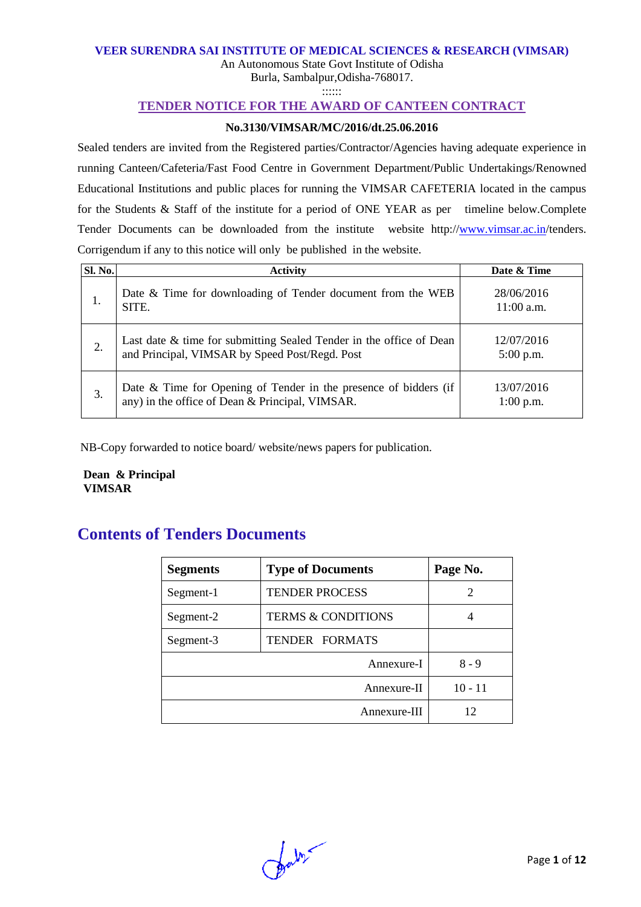#### **VEER SURENDRA SAI INSTITUTE OF MEDICAL SCIENCES & RESEARCH (VIMSAR)**

An Autonomous State Govt Institute of Odisha Burla, Sambalpur,Odisha-768017.

::::::

## **TENDER NOTICE FOR THE AWARD OF CANTEEN CONTRACT**

#### **No.3130/VIMSAR/MC/2016/dt.25.06.2016**

Sealed tenders are invited from the Registered parties/Contractor/Agencies having adequate experience in running Canteen/Cafeteria/Fast Food Centre in Government Department/Public Undertakings/Renowned Educational Institutions and public places for running the VIMSAR CAFETERIA located in the campus for the Students & Staff of the institute for a period of ONE YEAR as per timeline below.Complete Tender Documents can be downloaded from the institute website http:/[/www.vimsar.ac.in/](http://www.vimsar.ac.in/)tenders. Corrigendum if any to this notice will only be published in the website.

| Sl. No. | <b>Activity</b>                                                                                                       | Date & Time                |
|---------|-----------------------------------------------------------------------------------------------------------------------|----------------------------|
| 1.      | Date & Time for downloading of Tender document from the WEB<br>SITE.                                                  | 28/06/2016<br>$11:00$ a.m. |
| 2.      | Last date & time for submitting Sealed Tender in the office of Dean<br>and Principal, VIMSAR by Speed Post/Regd. Post | 12/07/2016<br>$5:00$ p.m.  |
| 3.      | Date & Time for Opening of Tender in the presence of bidders (if<br>any) in the office of Dean & Principal, VIMSAR.   | 13/07/2016<br>$1:00$ p.m.  |

NB-Copy forwarded to notice board/ website/news papers for publication.

 **Dean & Principal VIMSAR**

# **Contents of Tenders Documents**

| <b>Segments</b> | <b>Type of Documents</b>      | Page No. |
|-----------------|-------------------------------|----------|
| Segment-1       | <b>TENDER PROCESS</b>         |          |
| Segment-2       | <b>TERMS &amp; CONDITIONS</b> |          |
| Segment-3       | TENDER FORMATS                |          |
|                 | $8 - 9$                       |          |
|                 | $10 - 11$                     |          |
|                 | 12                            |          |

falso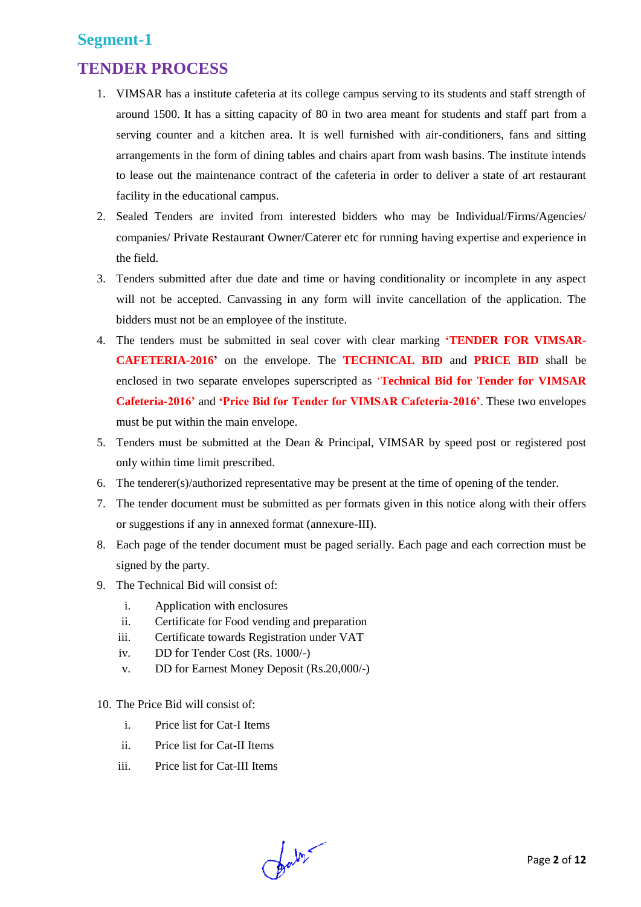# **Segment-1**

# **TENDER PROCESS**

- 1. VIMSAR has a institute cafeteria at its college campus serving to its students and staff strength of around 1500. It has a sitting capacity of 80 in two area meant for students and staff part from a serving counter and a kitchen area. It is well furnished with air-conditioners, fans and sitting arrangements in the form of dining tables and chairs apart from wash basins. The institute intends to lease out the maintenance contract of the cafeteria in order to deliver a state of art restaurant facility in the educational campus.
- 2. Sealed Tenders are invited from interested bidders who may be Individual/Firms/Agencies/ companies/ Private Restaurant Owner/Caterer etc for running having expertise and experience in the field.
- 3. Tenders submitted after due date and time or having conditionality or incomplete in any aspect will not be accepted. Canvassing in any form will invite cancellation of the application. The bidders must not be an employee of the institute.
- 4. The tenders must be submitted in seal cover with clear marking **'TENDER FOR VIMSAR-CAFETERIA-2016'** on the envelope. The **TECHNICAL BID** and **PRICE BID** shall be enclosed in two separate envelopes superscripted as '**Technical Bid for Tender for VIMSAR Cafeteria-2016'** and **'Price Bid for Tender for VIMSAR Cafeteria-2016'**. These two envelopes must be put within the main envelope.
- 5. Tenders must be submitted at the Dean & Principal, VIMSAR by speed post or registered post only within time limit prescribed.
- 6. The tenderer(s)/authorized representative may be present at the time of opening of the tender.
- 7. The tender document must be submitted as per formats given in this notice along with their offers or suggestions if any in annexed format (annexure-III).
- 8. Each page of the tender document must be paged serially. Each page and each correction must be signed by the party.
- 9. The Technical Bid will consist of:
	- i. Application with enclosures
	- ii. Certificate for Food vending and preparation
	- iii. Certificate towards Registration under VAT
	- iv. DD for Tender Cost (Rs. 1000/-)
	- v. DD for Earnest Money Deposit (Rs.20,000/-)
- 10. The Price Bid will consist of:
	- i. Price list for Cat-I Items
	- ii. Price list for Cat-II Items
	- iii. Price list for Cat-III Items

Jaby-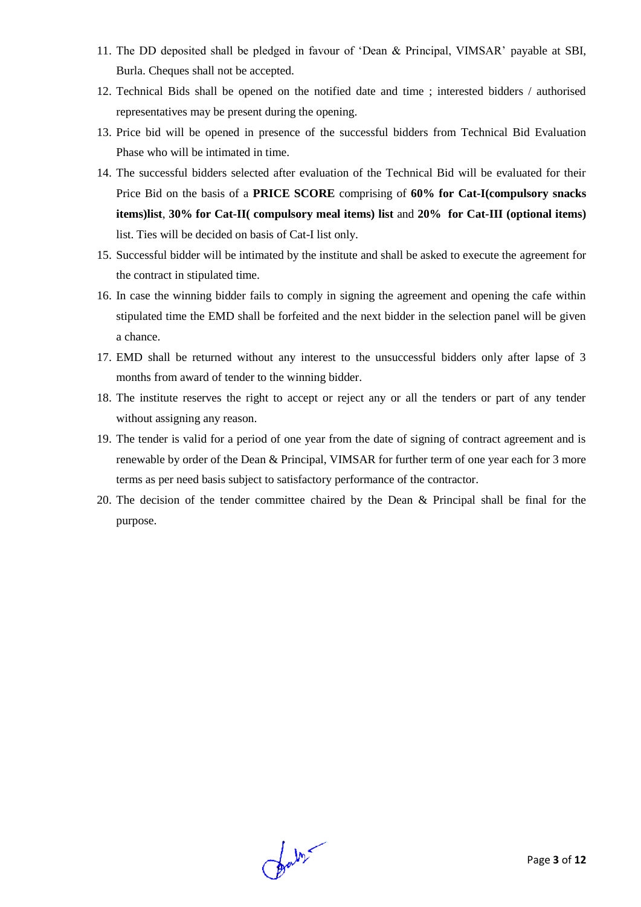- 11. The DD deposited shall be pledged in favour of 'Dean & Principal, VIMSAR' payable at SBI, Burla. Cheques shall not be accepted.
- 12. Technical Bids shall be opened on the notified date and time ; interested bidders / authorised representatives may be present during the opening.
- 13. Price bid will be opened in presence of the successful bidders from Technical Bid Evaluation Phase who will be intimated in time.
- 14. The successful bidders selected after evaluation of the Technical Bid will be evaluated for their Price Bid on the basis of a **PRICE SCORE** comprising of **60% for Cat-I(compulsory snacks items)list**, **30% for Cat-II( compulsory meal items) list** and **20% for Cat-III (optional items)** list. Ties will be decided on basis of Cat-I list only.
- 15. Successful bidder will be intimated by the institute and shall be asked to execute the agreement for the contract in stipulated time.
- 16. In case the winning bidder fails to comply in signing the agreement and opening the cafe within stipulated time the EMD shall be forfeited and the next bidder in the selection panel will be given a chance.
- 17. EMD shall be returned without any interest to the unsuccessful bidders only after lapse of 3 months from award of tender to the winning bidder.
- 18. The institute reserves the right to accept or reject any or all the tenders or part of any tender without assigning any reason.
- 19. The tender is valid for a period of one year from the date of signing of contract agreement and is renewable by order of the Dean & Principal, VIMSAR for further term of one year each for 3 more terms as per need basis subject to satisfactory performance of the contractor.
- 20. The decision of the tender committee chaired by the Dean & Principal shall be final for the purpose.

fals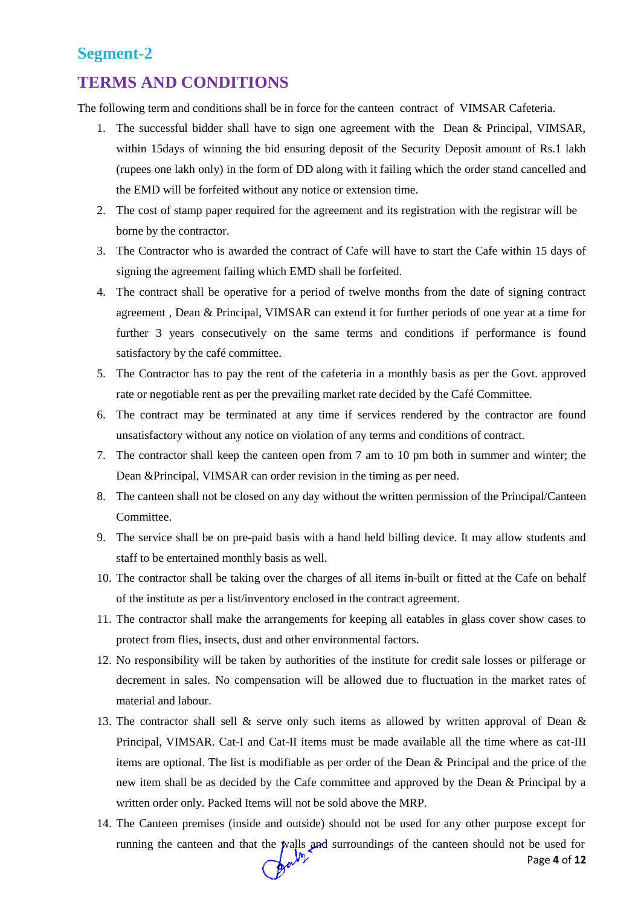## **Segment-2**

# **TERMS AND CONDITIONS**

The following term and conditions shall be in force for the canteen contract of VIMSAR Cafeteria.

- 1. The successful bidder shall have to sign one agreement with the Dean & Principal, VIMSAR, within 15days of winning the bid ensuring deposit of the Security Deposit amount of Rs.1 lakh (rupees one lakh only) in the form of DD along with it failing which the order stand cancelled and the EMD will be forfeited without any notice or extension time.
- 2. The cost of stamp paper required for the agreement and its registration with the registrar will be borne by the contractor.
- 3. The Contractor who is awarded the contract of Cafe will have to start the Cafe within 15 days of signing the agreement failing which EMD shall be forfeited.
- 4. The contract shall be operative for a period of twelve months from the date of signing contract agreement , Dean & Principal, VIMSAR can extend it for further periods of one year at a time for further 3 years consecutively on the same terms and conditions if performance is found satisfactory by the café committee.
- 5. The Contractor has to pay the rent of the cafeteria in a monthly basis as per the Govt. approved rate or negotiable rent as per the prevailing market rate decided by the Café Committee.
- 6. The contract may be terminated at any time if services rendered by the contractor are found unsatisfactory without any notice on violation of any terms and conditions of contract.
- 7. The contractor shall keep the canteen open from 7 am to 10 pm both in summer and winter; the Dean &Principal, VIMSAR can order revision in the timing as per need.
- 8. The canteen shall not be closed on any day without the written permission of the Principal/Canteen Committee.
- 9. The service shall be on pre-paid basis with a hand held billing device. It may allow students and staff to be entertained monthly basis as well.
- 10. The contractor shall be taking over the charges of all items in-built or fitted at the Cafe on behalf of the institute as per a list/inventory enclosed in the contract agreement.
- 11. The contractor shall make the arrangements for keeping all eatables in glass cover show cases to protect from flies, insects, dust and other environmental factors.
- 12. No responsibility will be taken by authorities of the institute for credit sale losses or pilferage or decrement in sales. No compensation will be allowed due to fluctuation in the market rates of material and labour.
- 13. The contractor shall sell & serve only such items as allowed by written approval of Dean & Principal, VIMSAR. Cat-I and Cat-II items must be made available all the time where as cat-III items are optional. The list is modifiable as per order of the Dean & Principal and the price of the new item shall be as decided by the Cafe committee and approved by the Dean & Principal by a written order only. Packed Items will not be sold above the MRP.
- Page **4** of **12** 14. The Canteen premises (inside and outside) should not be used for any other purpose except for running the canteen and that the walls and surroundings of the canteen should not be used for<br>Page 4 of 12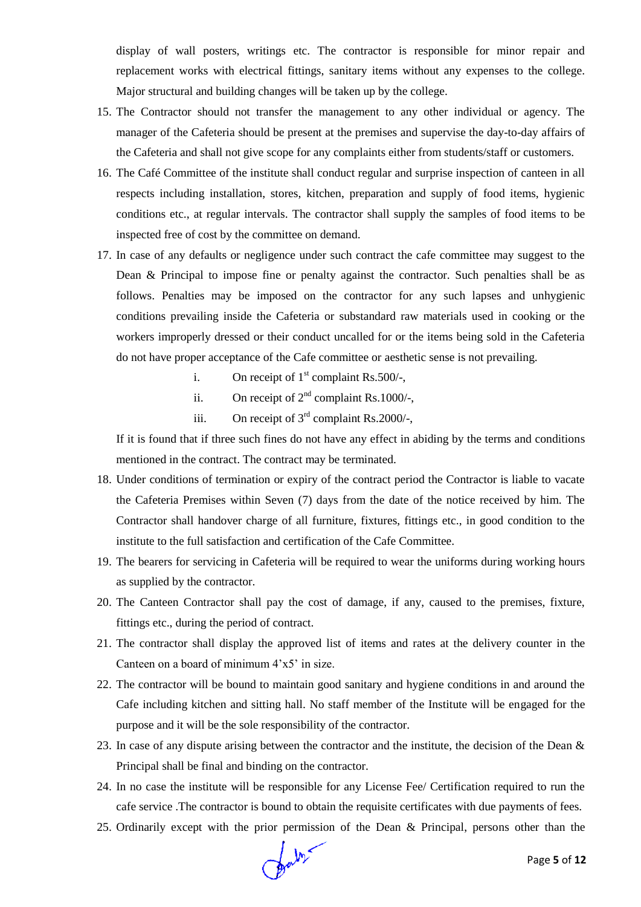display of wall posters, writings etc. The contractor is responsible for minor repair and replacement works with electrical fittings, sanitary items without any expenses to the college. Major structural and building changes will be taken up by the college.

- 15. The Contractor should not transfer the management to any other individual or agency. The manager of the Cafeteria should be present at the premises and supervise the day-to-day affairs of the Cafeteria and shall not give scope for any complaints either from students/staff or customers.
- 16. The Café Committee of the institute shall conduct regular and surprise inspection of canteen in all respects including installation, stores, kitchen, preparation and supply of food items, hygienic conditions etc., at regular intervals. The contractor shall supply the samples of food items to be inspected free of cost by the committee on demand.
- 17. In case of any defaults or negligence under such contract the cafe committee may suggest to the Dean & Principal to impose fine or penalty against the contractor. Such penalties shall be as follows. Penalties may be imposed on the contractor for any such lapses and unhygienic conditions prevailing inside the Cafeteria or substandard raw materials used in cooking or the workers improperly dressed or their conduct uncalled for or the items being sold in the Cafeteria do not have proper acceptance of the Cafe committee or aesthetic sense is not prevailing.
	- i. On receipt of  $1<sup>st</sup>$  complaint Rs.500/-,
	- ii. On receipt of  $2<sup>nd</sup>$  complaint Rs.1000/-,
	- iii. On receipt of  $3<sup>rd</sup>$  complaint Rs.2000/-,

If it is found that if three such fines do not have any effect in abiding by the terms and conditions mentioned in the contract. The contract may be terminated.

- 18. Under conditions of termination or expiry of the contract period the Contractor is liable to vacate the Cafeteria Premises within Seven (7) days from the date of the notice received by him. The Contractor shall handover charge of all furniture, fixtures, fittings etc., in good condition to the institute to the full satisfaction and certification of the Cafe Committee.
- 19. The bearers for servicing in Cafeteria will be required to wear the uniforms during working hours as supplied by the contractor.
- 20. The Canteen Contractor shall pay the cost of damage, if any, caused to the premises, fixture, fittings etc., during the period of contract.
- 21. The contractor shall display the approved list of items and rates at the delivery counter in the Canteen on a board of minimum 4'x5' in size.
- 22. The contractor will be bound to maintain good sanitary and hygiene conditions in and around the Cafe including kitchen and sitting hall. No staff member of the Institute will be engaged for the purpose and it will be the sole responsibility of the contractor.
- 23. In case of any dispute arising between the contractor and the institute, the decision of the Dean & Principal shall be final and binding on the contractor.
- 24. In no case the institute will be responsible for any License Fee/ Certification required to run the cafe service .The contractor is bound to obtain the requisite certificates with due payments of fees.
- 25. Ordinarily except with the prior permission of the Dean & Principal, persons other than the

Contre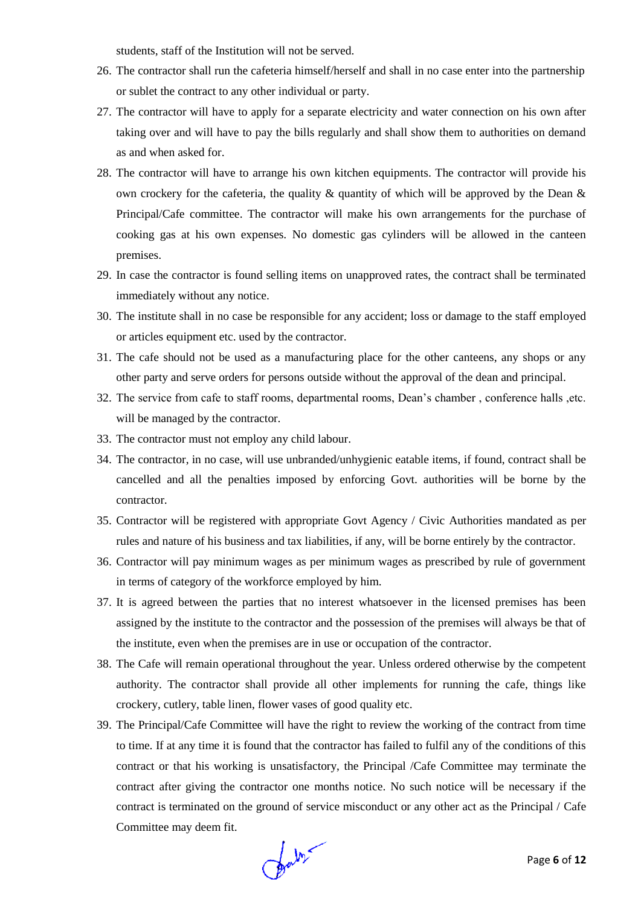students, staff of the Institution will not be served.

- 26. The contractor shall run the cafeteria himself/herself and shall in no case enter into the partnership or sublet the contract to any other individual or party.
- 27. The contractor will have to apply for a separate electricity and water connection on his own after taking over and will have to pay the bills regularly and shall show them to authorities on demand as and when asked for.
- 28. The contractor will have to arrange his own kitchen equipments. The contractor will provide his own crockery for the cafeteria, the quality  $\&$  quantity of which will be approved by the Dean  $\&$ Principal/Cafe committee. The contractor will make his own arrangements for the purchase of cooking gas at his own expenses. No domestic gas cylinders will be allowed in the canteen premises.
- 29. In case the contractor is found selling items on unapproved rates, the contract shall be terminated immediately without any notice.
- 30. The institute shall in no case be responsible for any accident; loss or damage to the staff employed or articles equipment etc. used by the contractor.
- 31. The cafe should not be used as a manufacturing place for the other canteens, any shops or any other party and serve orders for persons outside without the approval of the dean and principal.
- 32. The service from cafe to staff rooms, departmental rooms, Dean's chamber , conference halls ,etc. will be managed by the contractor.
- 33. The contractor must not employ any child labour.
- 34. The contractor, in no case, will use unbranded/unhygienic eatable items, if found, contract shall be cancelled and all the penalties imposed by enforcing Govt. authorities will be borne by the contractor.
- 35. Contractor will be registered with appropriate Govt Agency / Civic Authorities mandated as per rules and nature of his business and tax liabilities, if any, will be borne entirely by the contractor.
- 36. Contractor will pay minimum wages as per minimum wages as prescribed by rule of government in terms of category of the workforce employed by him.
- 37. It is agreed between the parties that no interest whatsoever in the licensed premises has been assigned by the institute to the contractor and the possession of the premises will always be that of the institute, even when the premises are in use or occupation of the contractor.
- 38. The Cafe will remain operational throughout the year. Unless ordered otherwise by the competent authority. The contractor shall provide all other implements for running the cafe, things like crockery, cutlery, table linen, flower vases of good quality etc.
- 39. The Principal/Cafe Committee will have the right to review the working of the contract from time to time. If at any time it is found that the contractor has failed to fulfil any of the conditions of this contract or that his working is unsatisfactory, the Principal /Cafe Committee may terminate the contract after giving the contractor one months notice. No such notice will be necessary if the contract is terminated on the ground of service misconduct or any other act as the Principal / Cafe Committee may deem fit.

Contre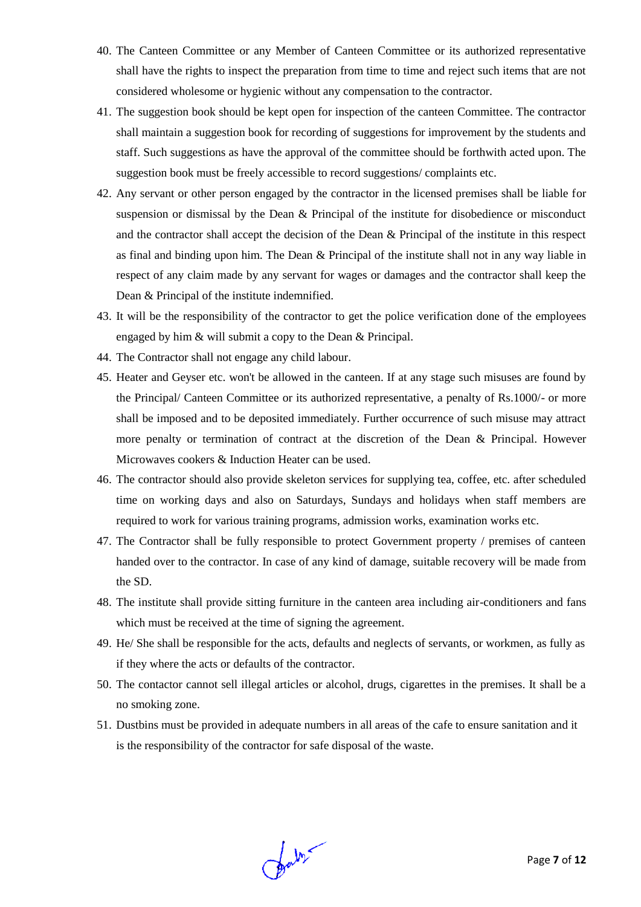- 40. The Canteen Committee or any Member of Canteen Committee or its authorized representative shall have the rights to inspect the preparation from time to time and reject such items that are not considered wholesome or hygienic without any compensation to the contractor.
- 41. The suggestion book should be kept open for inspection of the canteen Committee. The contractor shall maintain a suggestion book for recording of suggestions for improvement by the students and staff. Such suggestions as have the approval of the committee should be forthwith acted upon. The suggestion book must be freely accessible to record suggestions/ complaints etc.
- 42. Any servant or other person engaged by the contractor in the licensed premises shall be liable for suspension or dismissal by the Dean & Principal of the institute for disobedience or misconduct and the contractor shall accept the decision of the Dean & Principal of the institute in this respect as final and binding upon him. The Dean  $\&$  Principal of the institute shall not in any way liable in respect of any claim made by any servant for wages or damages and the contractor shall keep the Dean & Principal of the institute indemnified.
- 43. It will be the responsibility of the contractor to get the police verification done of the employees engaged by him & will submit a copy to the Dean & Principal.
- 44. The Contractor shall not engage any child labour.
- 45. Heater and Geyser etc. won't be allowed in the canteen. If at any stage such misuses are found by the Principal/ Canteen Committee or its authorized representative, a penalty of Rs.1000/- or more shall be imposed and to be deposited immediately. Further occurrence of such misuse may attract more penalty or termination of contract at the discretion of the Dean & Principal. However Microwaves cookers & Induction Heater can be used.
- 46. The contractor should also provide skeleton services for supplying tea, coffee, etc. after scheduled time on working days and also on Saturdays, Sundays and holidays when staff members are required to work for various training programs, admission works, examination works etc.
- 47. The Contractor shall be fully responsible to protect Government property / premises of canteen handed over to the contractor. In case of any kind of damage, suitable recovery will be made from the SD.
- 48. The institute shall provide sitting furniture in the canteen area including air-conditioners and fans which must be received at the time of signing the agreement.
- 49. He/ She shall be responsible for the acts, defaults and neglects of servants, or workmen, as fully as if they where the acts or defaults of the contractor.
- 50. The contactor cannot sell illegal articles or alcohol, drugs, cigarettes in the premises. It shall be a no smoking zone.
- 51. Dustbins must be provided in adequate numbers in all areas of the cafe to ensure sanitation and it is the responsibility of the contractor for safe disposal of the waste.

Jaby-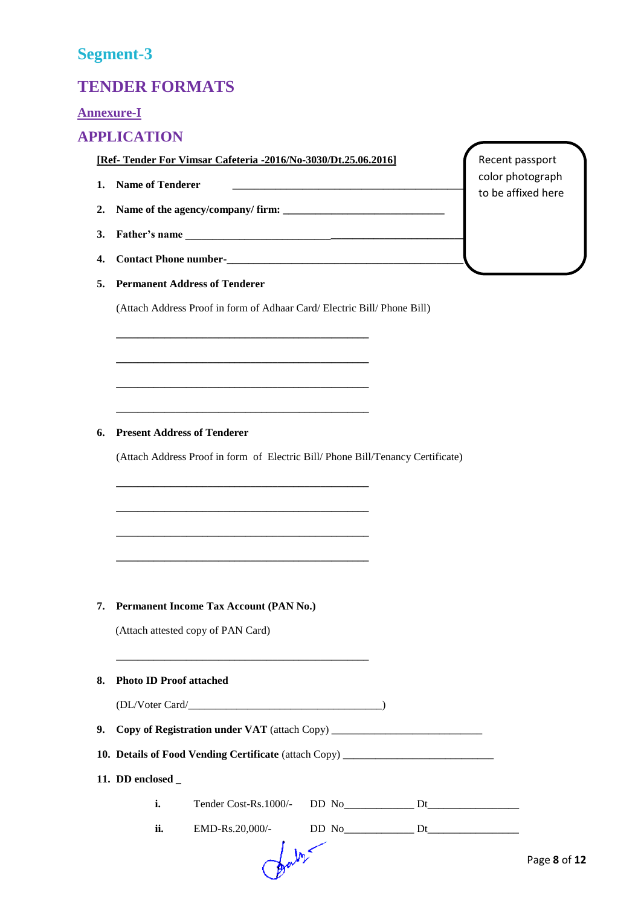# **Segment-3**

# **TENDER FORMATS**

## **Annexure-I**

## **APPLICATION**

**[Ref- Tender For Vimsar Cafeteria -2016/No-3030/Dt.25.06.2016]**

- **1. Name of Tenderer \_\_\_\_\_\_\_\_\_\_\_\_\_\_\_\_\_\_\_\_\_\_\_\_\_\_\_\_\_\_\_\_\_\_\_\_\_\_\_\_\_\_\_\_\_\_\_**
- **2. Name of the agency/company/ firm: \_\_\_\_\_\_\_\_\_\_\_\_\_\_\_\_\_\_\_\_\_\_\_\_\_\_\_\_\_\_**
- 3. **Father's name**
- **4. Contact Phone number-\_\_\_\_\_\_\_\_\_\_\_\_\_\_\_\_\_\_\_\_\_\_\_\_\_\_\_\_\_\_\_\_\_\_\_\_\_\_\_\_\_\_\_\_**
- **5. Permanent Address of Tenderer**

(Attach Address Proof in form of Adhaar Card/ Electric Bill/ Phone Bill)

**\_\_\_\_\_\_\_\_\_\_\_\_\_\_\_\_\_\_\_\_\_\_\_\_\_\_\_\_\_\_\_\_\_\_\_\_\_\_\_\_\_\_\_\_\_\_\_**

**\_\_\_\_\_\_\_\_\_\_\_\_\_\_\_\_\_\_\_\_\_\_\_\_\_\_\_\_\_\_\_\_\_\_\_\_\_\_\_\_\_\_\_\_\_\_\_**

**\_\_\_\_\_\_\_\_\_\_\_\_\_\_\_\_\_\_\_\_\_\_\_\_\_\_\_\_\_\_\_\_\_\_\_\_\_\_\_\_\_\_\_\_\_\_\_**

**\_\_\_\_\_\_\_\_\_\_\_\_\_\_\_\_\_\_\_\_\_\_\_\_\_\_\_\_\_\_\_\_\_\_\_\_\_\_\_\_\_\_\_\_\_\_\_**

**\_\_\_\_\_\_\_\_\_\_\_\_\_\_\_\_\_\_\_\_\_\_\_\_\_\_\_\_\_\_\_\_\_\_\_\_\_\_\_\_\_\_\_\_\_\_\_**

**\_\_\_\_\_\_\_\_\_\_\_\_\_\_\_\_\_\_\_\_\_\_\_\_\_\_\_\_\_\_\_\_\_\_\_\_\_\_\_\_\_\_\_\_\_\_\_**

**\_\_\_\_\_\_\_\_\_\_\_\_\_\_\_\_\_\_\_\_\_\_\_\_\_\_\_\_\_\_\_\_\_\_\_\_\_\_\_\_\_\_\_\_\_\_\_**

**\_\_\_\_\_\_\_\_\_\_\_\_\_\_\_\_\_\_\_\_\_\_\_\_\_\_\_\_\_\_\_\_\_\_\_\_\_\_\_\_\_\_\_\_\_\_\_**

#### **6. Present Address of Tenderer**

(Attach Address Proof in form of Electric Bill/ Phone Bill/Tenancy Certificate)

#### **7. Permanent Income Tax Account (PAN No.)**

(Attach attested copy of PAN Card)

#### **8. Photo ID Proof attached**

| (DL/Voter Card/ |
|-----------------|
|-----------------|

**\_\_\_\_\_\_\_\_\_\_\_\_\_\_\_\_\_\_\_\_\_\_\_\_\_\_\_\_\_\_\_\_\_\_\_\_\_\_\_\_\_\_\_\_\_\_\_**

**9. Copy of Registration under VAT** (attach Copy) \_\_\_\_\_\_\_\_\_\_\_\_\_\_\_\_\_\_\_\_\_\_\_\_\_\_\_\_

|  | 10. Details of Food Vending Certificate (attach Copy) _ |  |  |  |  |  |
|--|---------------------------------------------------------|--|--|--|--|--|
|--|---------------------------------------------------------|--|--|--|--|--|

**11. DD enclosed \_**

| Tender Cost-Rs.1000/-<br>NI 1<br>л. |  |
|-------------------------------------|--|
|-------------------------------------|--|

**ii.** EMD-Rs.20,000/- DD No**\_\_\_\_\_\_\_\_\_\_\_\_\_** Dt**\_\_\_\_\_\_\_\_\_\_\_\_\_\_\_\_\_**

Recent passport color photograph to be affixed here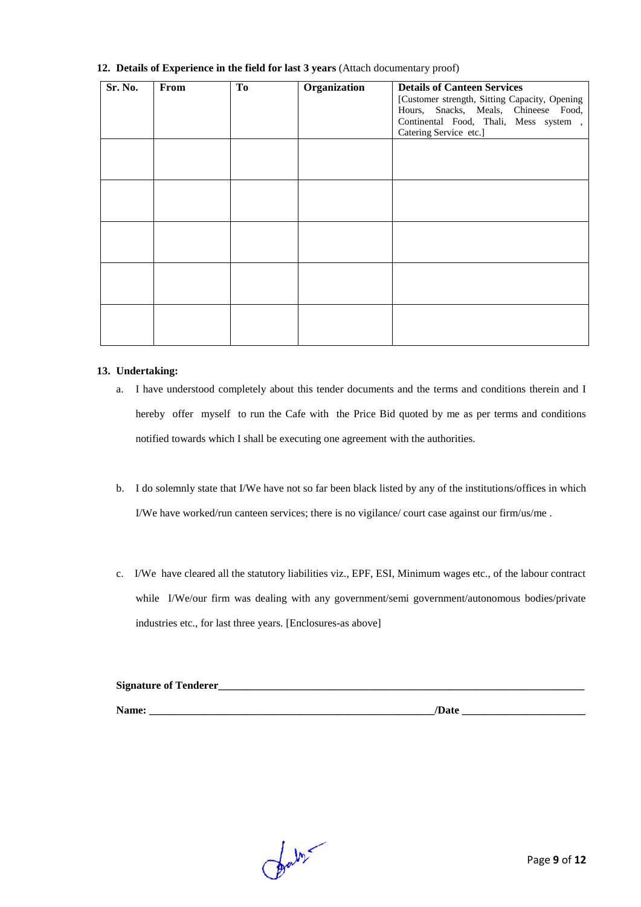| Sr. No. | From | To | Organization | <b>Details of Canteen Services</b><br>[Customer strength, Sitting Capacity, Opening<br>Hours, Snacks, Meals, Chineese Food,<br>Continental Food, Thali, Mess system,<br>Catering Service etc.] |
|---------|------|----|--------------|------------------------------------------------------------------------------------------------------------------------------------------------------------------------------------------------|
|         |      |    |              |                                                                                                                                                                                                |
|         |      |    |              |                                                                                                                                                                                                |
|         |      |    |              |                                                                                                                                                                                                |
|         |      |    |              |                                                                                                                                                                                                |
|         |      |    |              |                                                                                                                                                                                                |

#### **12. Details of Experience in the field for last 3 years** (Attach documentary proof)

#### **13. Undertaking:**

- a. I have understood completely about this tender documents and the terms and conditions therein and I hereby offer myself to run the Cafe with the Price Bid quoted by me as per terms and conditions notified towards which I shall be executing one agreement with the authorities.
- b. I do solemnly state that I/We have not so far been black listed by any of the institutions/offices in which I/We have worked/run canteen services; there is no vigilance/ court case against our firm/us/me .
- c. I/We have cleared all the statutory liabilities viz., EPF, ESI, Minimum wages etc., of the labour contract while I/We/our firm was dealing with any government/semi government/autonomous bodies/private industries etc., for last three years. [Enclosures-as above]

| <b>Signature of Tenderer_</b> |       |
|-------------------------------|-------|
| Name:                         | /Date |

falst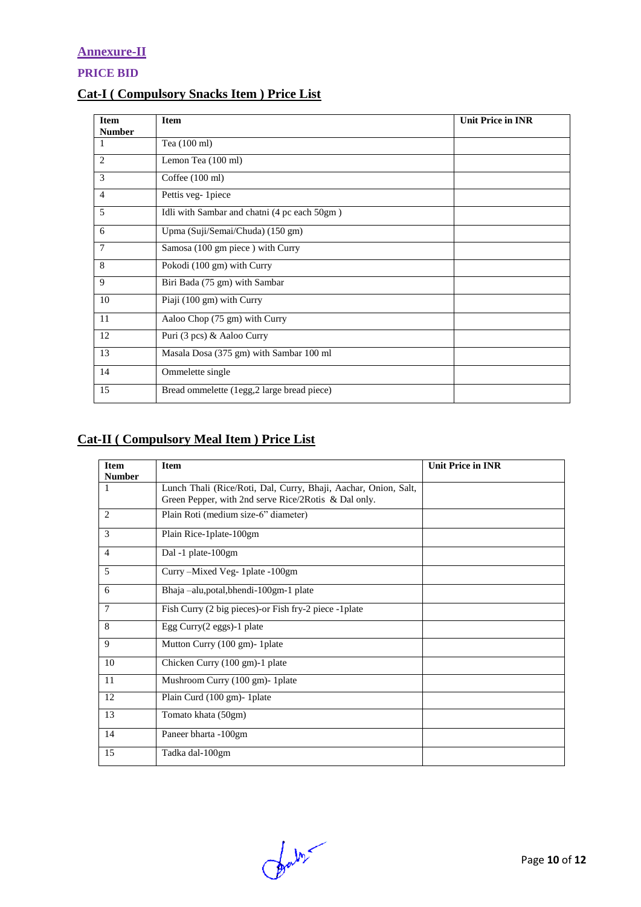## **Annexure-II**

**PRICE BID** 

## **Cat-I ( Compulsory Snacks Item ) Price List**

| <b>Item</b>    | <b>Item</b>                                  | <b>Unit Price in INR</b> |
|----------------|----------------------------------------------|--------------------------|
| <b>Number</b>  |                                              |                          |
| 1              | Tea (100 ml)                                 |                          |
| $\overline{2}$ | Lemon Tea (100 ml)                           |                          |
| 3              | Coffee $(100 \text{ ml})$                    |                          |
| $\overline{4}$ | Pettis veg-1piece                            |                          |
| 5              | Idli with Sambar and chatni (4 pc each 50gm) |                          |
| 6              | Upma (Suji/Semai/Chuda) (150 gm)             |                          |
| 7              | Samosa (100 gm piece) with Curry             |                          |
| 8              | Pokodi (100 gm) with Curry                   |                          |
| 9              | Biri Bada (75 gm) with Sambar                |                          |
| 10             | Piaji (100 gm) with Curry                    |                          |
| 11             | Aaloo Chop (75 gm) with Curry                |                          |
| 12             | Puri (3 pcs) & Aaloo Curry                   |                          |
| 13             | Masala Dosa (375 gm) with Sambar 100 ml      |                          |
| 14             | Ommelette single                             |                          |
| 15             | Bread ommelette (1egg,2 large bread piece)   |                          |

# **Cat-II ( Compulsory Meal Item ) Price List**

| <b>Item</b><br><b>Number</b> | <b>Item</b>                                                                                                             | <b>Unit Price in INR</b> |
|------------------------------|-------------------------------------------------------------------------------------------------------------------------|--------------------------|
| 1                            | Lunch Thali (Rice/Roti, Dal, Curry, Bhaji, Aachar, Onion, Salt,<br>Green Pepper, with 2nd serve Rice/2Rotis & Dal only. |                          |
| 2                            | Plain Roti (medium size-6" diameter)                                                                                    |                          |
| 3                            | Plain Rice-1plate-100gm                                                                                                 |                          |
| $\overline{4}$               | Dal -1 plate-100gm                                                                                                      |                          |
| 5                            | Curry – Mixed Veg- 1 plate - 100gm                                                                                      |                          |
| 6                            | Bhaja -alu, potal, bhendi-100gm-1 plate                                                                                 |                          |
| $\overline{7}$               | Fish Curry (2 big pieces)-or Fish fry-2 piece -1 plate                                                                  |                          |
| 8                            | Egg Curry(2 eggs)-1 plate                                                                                               |                          |
| 9                            | Mutton Curry (100 gm) - 1 plate                                                                                         |                          |
| 10                           | Chicken Curry (100 gm)-1 plate                                                                                          |                          |
| 11                           | Mushroom Curry (100 gm)- 1plate                                                                                         |                          |
| 12                           | Plain Curd (100 gm)- 1 plate                                                                                            |                          |
| 13                           | Tomato khata (50gm)                                                                                                     |                          |
| 14                           | Paneer bharta -100gm                                                                                                    |                          |
| 15                           | Tadka dal-100gm                                                                                                         |                          |

Darby-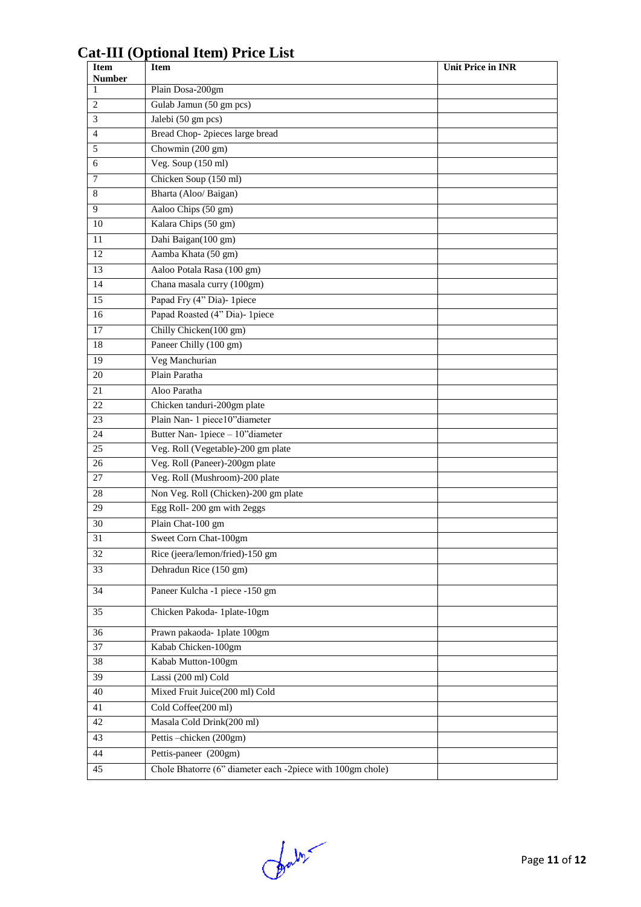## **Item Number Init Price in INR** 1 Plain Dosa-200gm Gulab Jamun (50 gm pcs) Jalebi (50 gm pcs) Bread Chop- 2pieces large bread Chowmin (200 gm) Veg. Soup (150 ml) Chicken Soup (150 ml) 8 Bharta (Aloo/ Baigan) Aaloo Chips (50 gm) Kalara Chips (50 gm) Dahi Baigan(100 gm) Aamba Khata (50 gm) Aaloo Potala Rasa (100 gm) Chana masala curry (100gm) Papad Fry (4" Dia)- 1piece Papad Roasted (4" Dia)- 1piece 17 Chilly Chicken(100 gm) 18 Paneer Chilly (100 gm) 19 Veg Manchurian 20 Plain Paratha Aloo Paratha 22 Chicken tanduri-200gm plate Plain Nan- 1 piece10"diameter Butter Nan- 1piece – 10"diameter Veg. Roll (Vegetable)-200 gm plate 26 Veg. Roll (Paneer)-200gm plate Veg. Roll (Mushroom)-200 plate 28 Non Veg. Roll (Chicken)-200 gm plate Egg Roll- 200 gm with 2eggs Plain Chat-100 gm Sweet Corn Chat-100gm Rice (jeera/lemon/fried)-150 gm Dehradun Rice (150 gm) Paneer Kulcha -1 piece -150 gm Chicken Pakoda- 1plate-10gm Prawn pakaoda- 1plate 100gm Kabab Chicken-100gm Kabab Mutton-100gm Lassi (200 ml) Cold Mixed Fruit Juice(200 ml) Cold Cold Coffee(200 ml) Masala Cold Drink(200 ml) Pettis –chicken (200gm) Pettis-paneer (200gm) Chole Bhatorre (6" diameter each -2piece with 100gm chole)

# **Cat-III (Optional Item) Price List**

for m